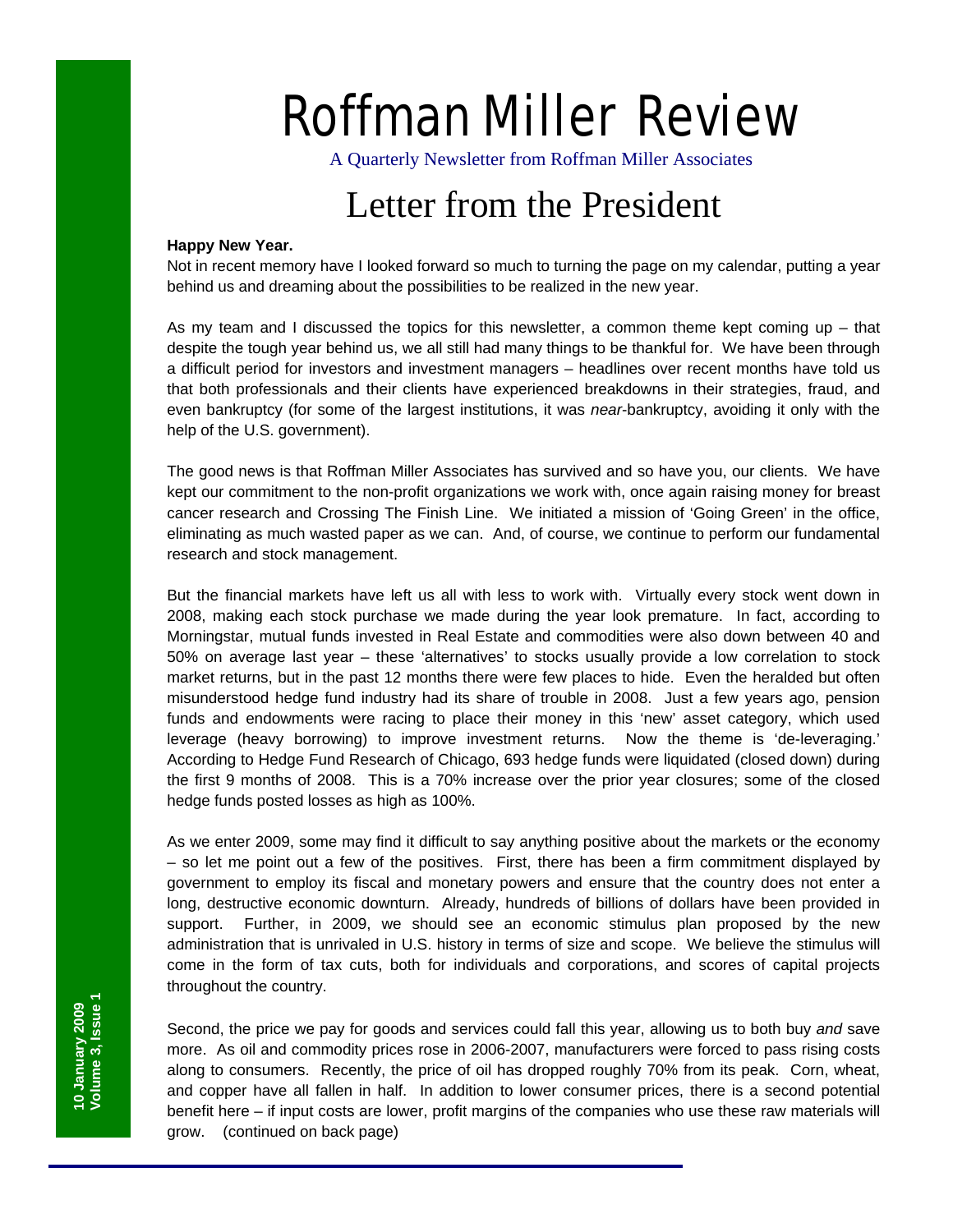# Roffman Miller Review

A Quarterly Newsletter from Roffman Miller Associates

## Letter from the President

#### **Happy New Year.**

Not in recent memory have I looked forward so much to turning the page on my calendar, putting a year behind us and dreaming about the possibilities to be realized in the new year.

As my team and I discussed the topics for this newsletter, a common theme kept coming up  $-$  that despite the tough year behind us, we all still had many things to be thankful for. We have been through a difficult period for investors and investment managers – headlines over recent months have told us that both professionals and their clients have experienced breakdowns in their strategies, fraud, and even bankruptcy (for some of the largest institutions, it was *near*-bankruptcy, avoiding it only with the help of the U.S. government).

The good news is that Roffman Miller Associates has survived and so have you, our clients. We have kept our commitment to the non-profit organizations we work with, once again raising money for breast cancer research and Crossing The Finish Line. We initiated a mission of 'Going Green' in the office, eliminating as much wasted paper as we can. And, of course, we continue to perform our fundamental research and stock management.

But the financial markets have left us all with less to work with. Virtually every stock went down in 2008, making each stock purchase we made during the year look premature. In fact, according to Morningstar, mutual funds invested in Real Estate and commodities were also down between 40 and 50% on average last year – these 'alternatives' to stocks usually provide a low correlation to stock market returns, but in the past 12 months there were few places to hide. Even the heralded but often misunderstood hedge fund industry had its share of trouble in 2008. Just a few years ago, pension funds and endowments were racing to place their money in this 'new' asset category, which used leverage (heavy borrowing) to improve investment returns. Now the theme is 'de-leveraging.' According to Hedge Fund Research of Chicago, 693 hedge funds were liquidated (closed down) during the first 9 months of 2008. This is a 70% increase over the prior year closures; some of the closed hedge funds posted losses as high as 100%.

As we enter 2009, some may find it difficult to say anything positive about the markets or the economy – so let me point out a few of the positives. First, there has been a firm commitment displayed by government to employ its fiscal and monetary powers and ensure that the country does not enter a long, destructive economic downturn. Already, hundreds of billions of dollars have been provided in support. Further, in 2009, we should see an economic stimulus plan proposed by the new administration that is unrivaled in U.S. history in terms of size and scope. We believe the stimulus will come in the form of tax cuts, both for individuals and corporations, and scores of capital projects throughout the country.

Second, the price we pay for goods and services could fall this year, allowing us to both buy *and* save more. As oil and commodity prices rose in 2006-2007, manufacturers were forced to pass rising costs along to consumers. Recently, the price of oil has dropped roughly 70% from its peak. Corn, wheat, and copper have all fallen in half. In addition to lower consumer prices, there is a second potential benefit here – if input costs are lower, profit margins of the companies who use these raw materials will grow. (continued on back page)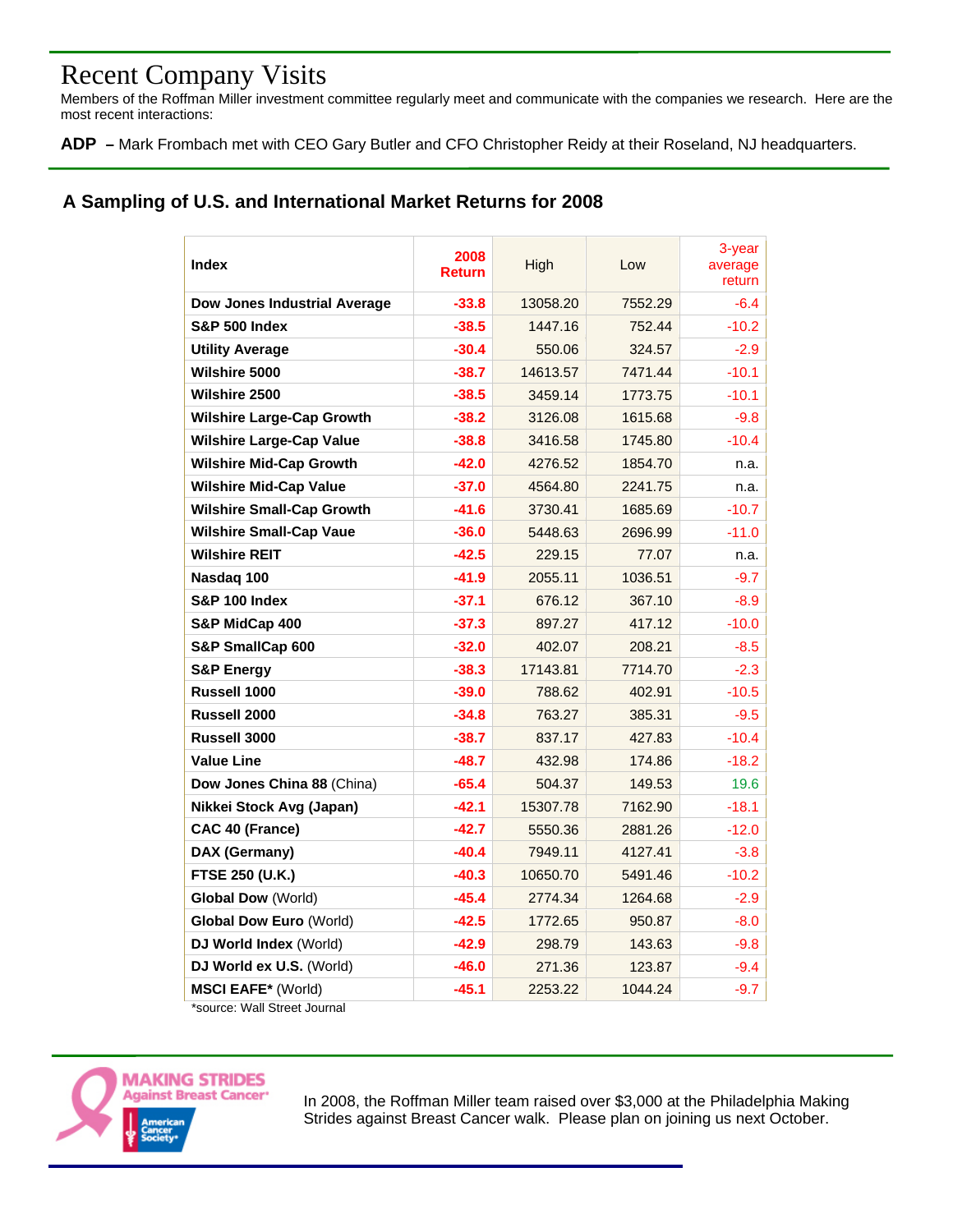### Recent Company Visits

Members of the Roffman Miller investment committee regularly meet and communicate with the companies we research. Here are the most recent interactions:

**ADP –** Mark Frombach met with CEO Gary Butler and CFO Christopher Reidy at their Roseland, NJ headquarters.

#### **A Sampling of U.S. and International Market Returns for 2008**

| Index                            | 2008<br><b>Return</b> | High     | Low     | 3-year<br>average<br>return |
|----------------------------------|-----------------------|----------|---------|-----------------------------|
| Dow Jones Industrial Average     | $-33.8$               | 13058.20 | 7552.29 | $-6.4$                      |
| <b>S&amp;P 500 Index</b>         | $-38.5$               | 1447.16  | 752.44  | $-10.2$                     |
| <b>Utility Average</b>           | $-30.4$               | 550.06   | 324.57  | $-2.9$                      |
| <b>Wilshire 5000</b>             | $-38.7$               | 14613.57 | 7471.44 | $-10.1$                     |
| <b>Wilshire 2500</b>             | $-38.5$               | 3459.14  | 1773.75 | $-10.1$                     |
| <b>Wilshire Large-Cap Growth</b> | $-38.2$               | 3126.08  | 1615.68 | $-9.8$                      |
| <b>Wilshire Large-Cap Value</b>  | $-38.8$               | 3416.58  | 1745.80 | $-10.4$                     |
| <b>Wilshire Mid-Cap Growth</b>   | $-42.0$               | 4276.52  | 1854.70 | n.a.                        |
| <b>Wilshire Mid-Cap Value</b>    | $-37.0$               | 4564.80  | 2241.75 | n.a.                        |
| <b>Wilshire Small-Cap Growth</b> | $-41.6$               | 3730.41  | 1685.69 | $-10.7$                     |
| <b>Wilshire Small-Cap Vaue</b>   | $-36.0$               | 5448.63  | 2696.99 | $-11.0$                     |
| <b>Wilshire REIT</b>             | $-42.5$               | 229.15   | 77.07   | n.a.                        |
| Nasdaq 100                       | $-41.9$               | 2055.11  | 1036.51 | $-9.7$                      |
| <b>S&amp;P 100 Index</b>         | $-37.1$               | 676.12   | 367.10  | $-8.9$                      |
| S&P MidCap 400                   | $-37.3$               | 897.27   | 417.12  | $-10.0$                     |
| S&P SmallCap 600                 | $-32.0$               | 402.07   | 208.21  | $-8.5$                      |
| <b>S&amp;P Energy</b>            | $-38.3$               | 17143.81 | 7714.70 | $-2.3$                      |
| Russell 1000                     | $-39.0$               | 788.62   | 402.91  | $-10.5$                     |
| Russell 2000                     | $-34.8$               | 763.27   | 385.31  | $-9.5$                      |
| <b>Russell 3000</b>              | $-38.7$               | 837.17   | 427.83  | $-10.4$                     |
| <b>Value Line</b>                | $-48.7$               | 432.98   | 174.86  | $-18.2$                     |
| Dow Jones China 88 (China)       | $-65.4$               | 504.37   | 149.53  | 19.6                        |
| Nikkei Stock Avg (Japan)         | $-42.1$               | 15307.78 | 7162.90 | $-18.1$                     |
| CAC 40 (France)                  | $-42.7$               | 5550.36  | 2881.26 | $-12.0$                     |
| DAX (Germany)                    | $-40.4$               | 7949.11  | 4127.41 | $-3.8$                      |
| FTSE 250 (U.K.)                  | $-40.3$               | 10650.70 | 5491.46 | $-10.2$                     |
| <b>Global Dow (World)</b>        | $-45.4$               | 2774.34  | 1264.68 | $-2.9$                      |
| <b>Global Dow Euro (World)</b>   | -42.5                 | 1772.65  | 950.87  | $-8.0$                      |
| DJ World Index (World)           | $-42.9$               | 298.79   | 143.63  | $-9.8$                      |
| DJ World ex U.S. (World)         | $-46.0$               | 271.36   | 123.87  | $-9.4$                      |
| <b>MSCI EAFE*</b> (World)        | $-45.1$               | 2253.22  | 1044.24 | $-9.7$                      |

\*source: Wall Street Journal



In 2008, the Roffman Miller team raised over \$3,000 at the Philadelphia Making Strides against Breast Cancer walk. Please plan on joining us next October.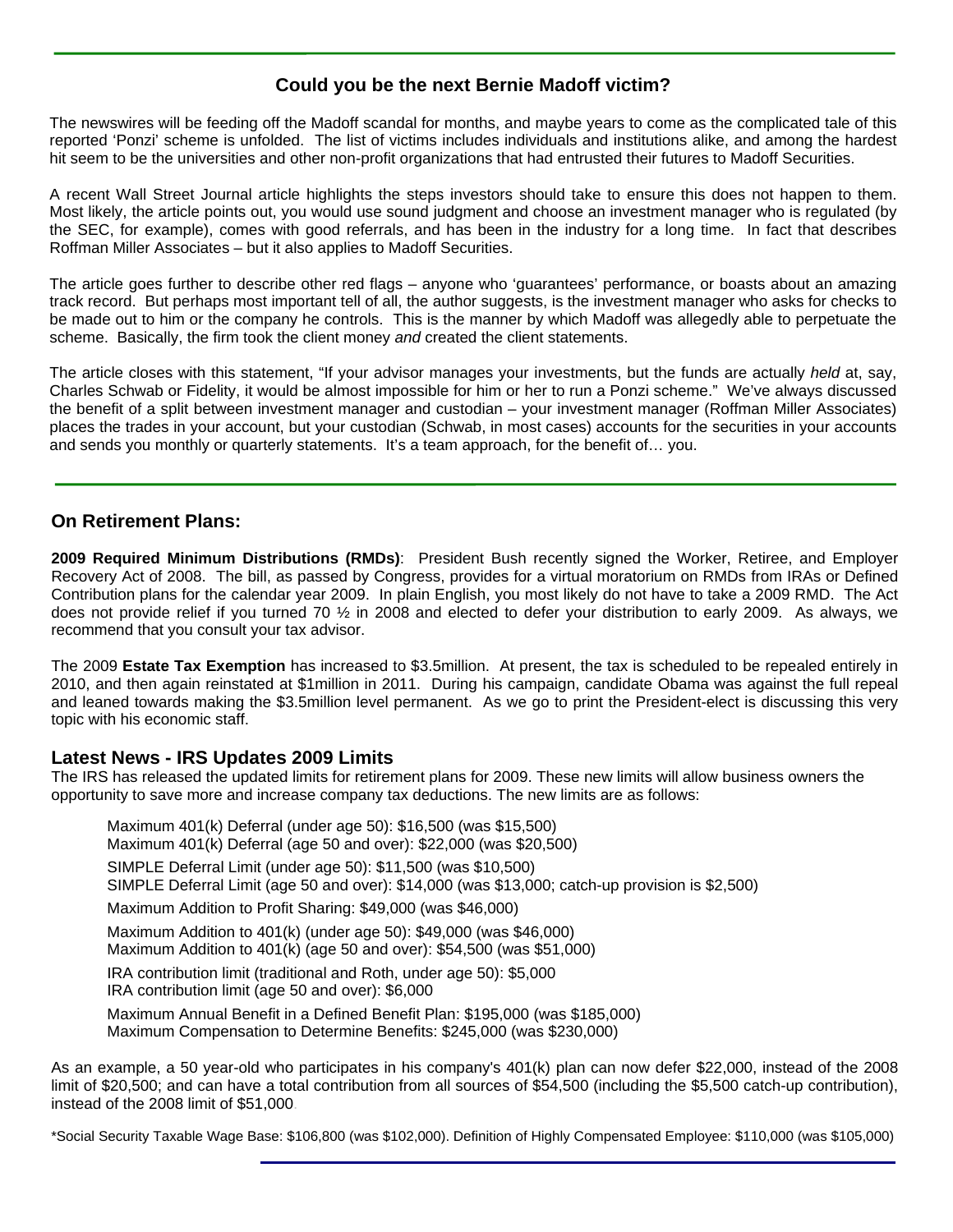#### **Could you be the next Bernie Madoff victim?**

 The newswires will be feeding off the Madoff scandal for months, and maybe years to come as the complicated tale of this reported 'Ponzi' scheme is unfolded. The list of victims includes individuals and institutions alike, and among the hardest hit seem to be the universities and other non-profit organizations that had entrusted their futures to Madoff Securities.

A recent Wall Street Journal article highlights the steps investors should take to ensure this does not happen to them. Most likely, the article points out, you would use sound judgment and choose an investment manager who is regulated (by the SEC, for example), comes with good referrals, and has been in the industry for a long time. In fact that describes Roffman Miller Associates – but it also applies to Madoff Securities.

The article goes further to describe other red flags – anyone who 'guarantees' performance, or boasts about an amazing track record. But perhaps most important tell of all, the author suggests, is the investment manager who asks for checks to be made out to him or the company he controls. This is the manner by which Madoff was allegedly able to perpetuate the scheme. Basically, the firm took the client money *and* created the client statements.

The article closes with this statement, "If your advisor manages your investments, but the funds are actually *held* at, say, Charles Schwab or Fidelity, it would be almost impossible for him or her to run a Ponzi scheme." We've always discussed the benefit of a split between investment manager and custodian – your investment manager (Roffman Miller Associates) places the trades in your account, but your custodian (Schwab, in most cases) accounts for the securities in your accounts and sends you monthly or quarterly statements. It's a team approach, for the benefit of... you.

#### **On Retirement Plans:**

**2009 Required Minimum Distributions (RMDs)**: President Bush recently signed the Worker, Retiree, and Employer Recovery Act of 2008. The bill, as passed by Congress, provides for a virtual moratorium on RMDs from IRAs or Defined Contribution plans for the calendar year 2009. In plain English, you most likely do not have to take a 2009 RMD. The Act does not provide relief if you turned 70 ½ in 2008 and elected to defer your distribution to early 2009. As always, we recommend that you consult your tax advisor.

The 2009 **Estate Tax Exemption** has increased to \$3.5million. At present, the tax is scheduled to be repealed entirely in 2010, and then again reinstated at \$1million in 2011. During his campaign, candidate Obama was against the full repeal and leaned towards making the \$3.5million level permanent. As we go to print the President-elect is discussing this very topic with his economic staff.

#### **Latest News - IRS Updates 2009 Limits**

The IRS has released the updated limits for retirement plans for 2009. These new limits will allow business owners the opportunity to save more and increase company tax deductions. The new limits are as follows:

Maximum 401(k) Deferral (under age 50): \$16,500 (was \$15,500) Maximum 401(k) Deferral (age 50 and over): \$22,000 (was \$20,500) SIMPLE Deferral Limit (under age 50): \$11,500 (was \$10,500) SIMPLE Deferral Limit (age 50 and over): \$14,000 (was \$13,000; catch-up provision is \$2,500) Maximum Addition to Profit Sharing: \$49,000 (was \$46,000) Maximum Addition to 401(k) (under age 50): \$49,000 (was \$46,000) Maximum Addition to 401(k) (age 50 and over): \$54,500 (was \$51,000) IRA contribution limit (traditional and Roth, under age 50): \$5,000 IRA contribution limit (age 50 and over): \$6,000

Maximum Annual Benefit in a Defined Benefit Plan: \$195,000 (was \$185,000) Maximum Compensation to Determine Benefits: \$245,000 (was \$230,000)

As an example, a 50 year-old who participates in his company's 401(k) plan can now defer \$22,000, instead of the 2008 limit of \$20,500; and can have a total contribution from all sources of \$54,500 (including the \$5,500 catch-up contribution), instead of the 2008 limit of \$51,000.

\*Social Security Taxable Wage Base: \$106,800 (was \$102,000). Definition of Highly Compensated Employee: \$110,000 (was \$105,000)